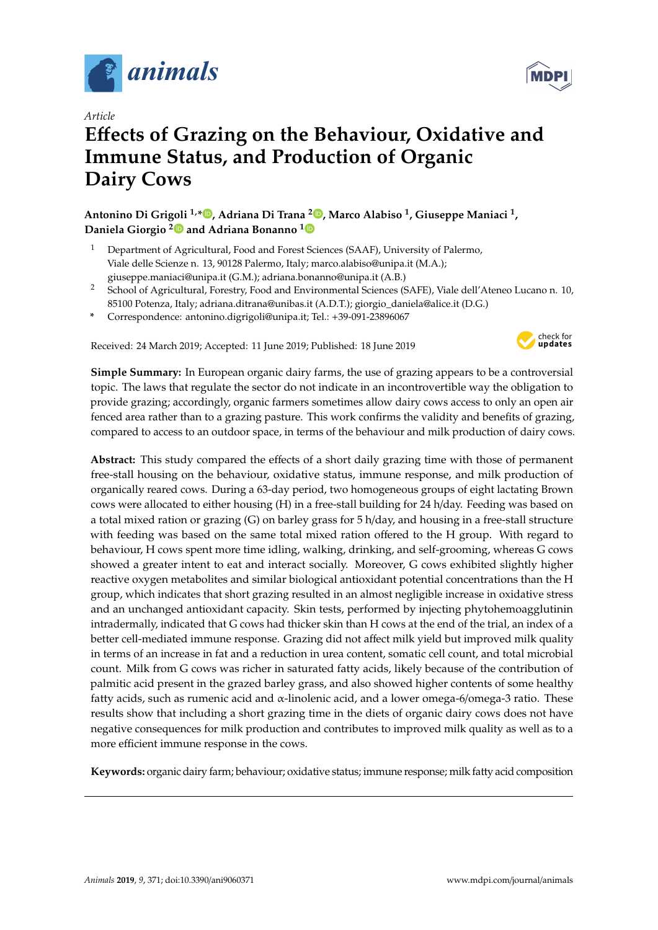

*Article*

# **E**ff**ects of Grazing on the Behaviour, Oxidative and Immune Status, and Production of Organic Dairy Cows**

**Antonino Di Grigoli 1,[\\*](https://orcid.org/0000-0002-9093-6368) , Adriana Di Trana <sup>2</sup> [,](https://orcid.org/0000-0002-5926-5981) Marco Alabiso <sup>1</sup> , Giuseppe Maniaci <sup>1</sup> , Daniela Giorgio [2](https://orcid.org/0000-0002-8243-6267) and Adriana Bonanno [1](https://orcid.org/0000-0002-1045-9224)**

- <sup>1</sup> Department of Agricultural, Food and Forest Sciences (SAAF), University of Palermo, Viale delle Scienze n. 13, 90128 Palermo, Italy; marco.alabiso@unipa.it (M.A.); giuseppe.maniaci@unipa.it (G.M.); adriana.bonanno@unipa.it (A.B.)
- <sup>2</sup> School of Agricultural, Forestry, Food and Environmental Sciences (SAFE), Viale dell'Ateneo Lucano n. 10, 85100 Potenza, Italy; adriana.ditrana@unibas.it (A.D.T.); giorgio\_daniela@alice.it (D.G.)
- **\*** Correspondence: antonino.digrigoli@unipa.it; Tel.: +39-091-23896067

Received: 24 March 2019; Accepted: 11 June 2019; Published: 18 June 2019



**Simple Summary:** In European organic dairy farms, the use of grazing appears to be a controversial topic. The laws that regulate the sector do not indicate in an incontrovertible way the obligation to provide grazing; accordingly, organic farmers sometimes allow dairy cows access to only an open air fenced area rather than to a grazing pasture. This work confirms the validity and benefits of grazing, compared to access to an outdoor space, in terms of the behaviour and milk production of dairy cows.

**Abstract:** This study compared the effects of a short daily grazing time with those of permanent free-stall housing on the behaviour, oxidative status, immune response, and milk production of organically reared cows. During a 63-day period, two homogeneous groups of eight lactating Brown cows were allocated to either housing (H) in a free-stall building for 24 h/day. Feeding was based on a total mixed ration or grazing (G) on barley grass for 5 h/day, and housing in a free-stall structure with feeding was based on the same total mixed ration offered to the H group. With regard to behaviour, H cows spent more time idling, walking, drinking, and self-grooming, whereas G cows showed a greater intent to eat and interact socially. Moreover, G cows exhibited slightly higher reactive oxygen metabolites and similar biological antioxidant potential concentrations than the H group, which indicates that short grazing resulted in an almost negligible increase in oxidative stress and an unchanged antioxidant capacity. Skin tests, performed by injecting phytohemoagglutinin intradermally, indicated that G cows had thicker skin than H cows at the end of the trial, an index of a better cell-mediated immune response. Grazing did not affect milk yield but improved milk quality in terms of an increase in fat and a reduction in urea content, somatic cell count, and total microbial count. Milk from G cows was richer in saturated fatty acids, likely because of the contribution of palmitic acid present in the grazed barley grass, and also showed higher contents of some healthy fatty acids, such as rumenic acid and  $\alpha$ -linolenic acid, and a lower omega-6/omega-3 ratio. These results show that including a short grazing time in the diets of organic dairy cows does not have negative consequences for milk production and contributes to improved milk quality as well as to a more efficient immune response in the cows.

**Keywords:** organic dairy farm; behaviour; oxidative status; immune response; milk fatty acid composition

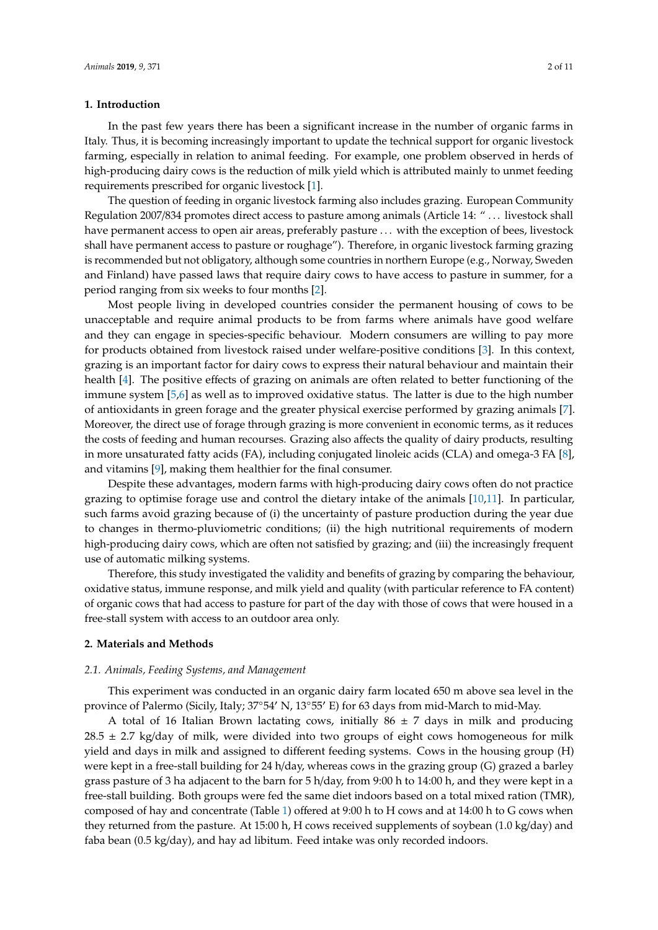# **1. Introduction**

In the past few years there has been a significant increase in the number of organic farms in Italy. Thus, it is becoming increasingly important to update the technical support for organic livestock farming, especially in relation to animal feeding. For example, one problem observed in herds of high-producing dairy cows is the reduction of milk yield which is attributed mainly to unmet feeding requirements prescribed for organic livestock [\[1\]](#page-8-0).

The question of feeding in organic livestock farming also includes grazing. European Community Regulation 2007/834 promotes direct access to pasture among animals (Article 14: " . . . livestock shall have permanent access to open air areas, preferably pasture ... with the exception of bees, livestock shall have permanent access to pasture or roughage"). Therefore, in organic livestock farming grazing is recommended but not obligatory, although some countries in northern Europe (e.g., Norway, Sweden and Finland) have passed laws that require dairy cows to have access to pasture in summer, for a period ranging from six weeks to four months [\[2\]](#page-8-1).

Most people living in developed countries consider the permanent housing of cows to be unacceptable and require animal products to be from farms where animals have good welfare and they can engage in species-specific behaviour. Modern consumers are willing to pay more for products obtained from livestock raised under welfare-positive conditions [\[3\]](#page-8-2). In this context, grazing is an important factor for dairy cows to express their natural behaviour and maintain their health [\[4\]](#page-8-3). The positive effects of grazing on animals are often related to better functioning of the immune system [\[5,](#page-8-4)[6\]](#page-8-5) as well as to improved oxidative status. The latter is due to the high number of antioxidants in green forage and the greater physical exercise performed by grazing animals [\[7\]](#page-8-6). Moreover, the direct use of forage through grazing is more convenient in economic terms, as it reduces the costs of feeding and human recourses. Grazing also affects the quality of dairy products, resulting in more unsaturated fatty acids (FA), including conjugated linoleic acids (CLA) and omega-3 FA [\[8\]](#page-8-7), and vitamins [\[9\]](#page-8-8), making them healthier for the final consumer.

Despite these advantages, modern farms with high-producing dairy cows often do not practice grazing to optimise forage use and control the dietary intake of the animals [\[10,](#page-8-9)[11\]](#page-9-0). In particular, such farms avoid grazing because of (i) the uncertainty of pasture production during the year due to changes in thermo-pluviometric conditions; (ii) the high nutritional requirements of modern high-producing dairy cows, which are often not satisfied by grazing; and (iii) the increasingly frequent use of automatic milking systems.

Therefore, this study investigated the validity and benefits of grazing by comparing the behaviour, oxidative status, immune response, and milk yield and quality (with particular reference to FA content) of organic cows that had access to pasture for part of the day with those of cows that were housed in a free-stall system with access to an outdoor area only.

# **2. Materials and Methods**

## *2.1. Animals, Feeding Systems, and Management*

This experiment was conducted in an organic dairy farm located 650 m above sea level in the province of Palermo (Sicily, Italy; 37°54′ N, 13°55′ E) for 63 days from mid-March to mid-May.

A total of 16 Italian Brown lactating cows, initially  $86 \pm 7$  days in milk and producing  $28.5 \pm 2.7$  kg/day of milk, were divided into two groups of eight cows homogeneous for milk yield and days in milk and assigned to different feeding systems. Cows in the housing group (H) were kept in a free-stall building for 24 h/day, whereas cows in the grazing group (G) grazed a barley grass pasture of 3 ha adjacent to the barn for 5 h/day, from 9:00 h to 14:00 h, and they were kept in a free-stall building. Both groups were fed the same diet indoors based on a total mixed ration (TMR), composed of hay and concentrate (Table [1\)](#page-2-0) offered at 9:00 h to H cows and at 14:00 h to G cows when they returned from the pasture. At 15:00 h, H cows received supplements of soybean (1.0 kg/day) and faba bean (0.5 kg/day), and hay ad libitum. Feed intake was only recorded indoors.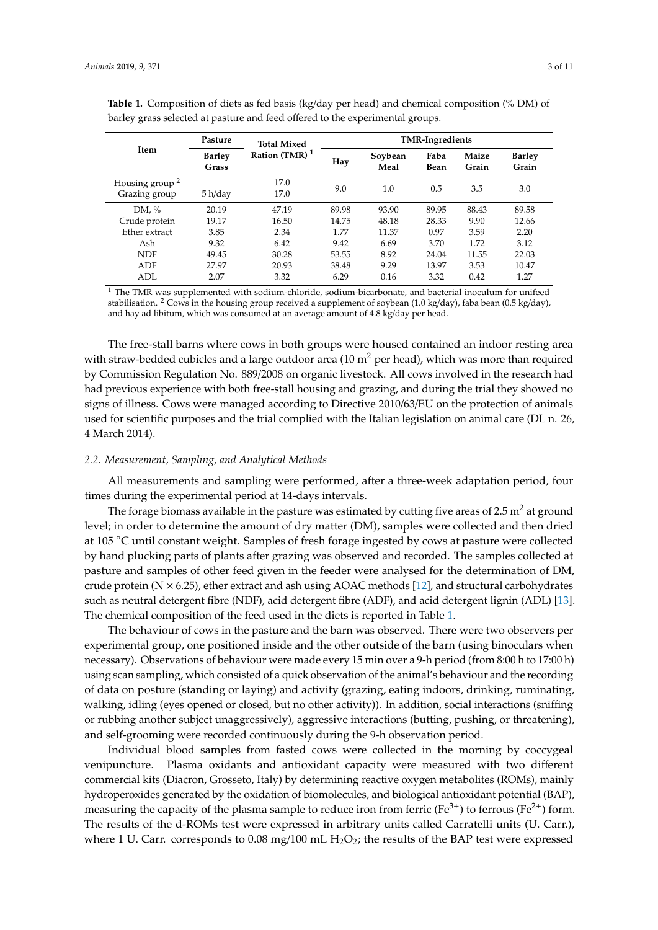| <b>Item</b>                        | Pasture                | <b>Total Mixed</b>        | <b>TMR-Ingredients</b> |                 |                     |                |                        |
|------------------------------------|------------------------|---------------------------|------------------------|-----------------|---------------------|----------------|------------------------|
|                                    | <b>Barley</b><br>Grass | Ration (TMR) <sup>1</sup> | Hay                    | Soybean<br>Meal | Faba<br><b>Bean</b> | Maize<br>Grain | <b>Barley</b><br>Grain |
| Housing group $2$<br>Grazing group | 5 h/day                | 17.0<br>17.0              | 9.0                    | 1.0             | 0.5                 | 3.5            | 3.0                    |
| DM. $%$                            | 20.19                  | 47.19                     | 89.98                  | 93.90           | 89.95               | 88.43          | 89.58                  |
| Crude protein                      | 19.17                  | 16.50                     | 14.75                  | 48.18           | 28.33               | 9.90           | 12.66                  |
| Ether extract                      | 3.85                   | 2.34                      | 1.77                   | 11.37           | 0.97                | 3.59           | 2.20                   |
| Ash                                | 9.32                   | 6.42                      | 9.42                   | 6.69            | 3.70                | 1.72           | 3.12                   |
| <b>NDF</b>                         | 49.45                  | 30.28                     | 53.55                  | 8.92            | 24.04               | 11.55          | 22.03                  |
| ADF                                | 27.97                  | 20.93                     | 38.48                  | 9.29            | 13.97               | 3.53           | 10.47                  |
| ADL                                | 2.07                   | 3.32                      | 6.29                   | 0.16            | 3.32                | 0.42           | 1.27                   |

<span id="page-2-0"></span>**Table 1.** Composition of diets as fed basis (kg/day per head) and chemical composition (% DM) of barley grass selected at pasture and feed offered to the experimental groups.

<sup>1</sup> The TMR was supplemented with sodium-chloride, sodium-bicarbonate, and bacterial inoculum for unifeed stabilisation. <sup>2</sup> Cows in the housing group received a supplement of soybean (1.0 kg/day), faba bean (0.5 kg/day), and hay ad libitum, which was consumed at an average amount of 4.8 kg/day per head.

The free-stall barns where cows in both groups were housed contained an indoor resting area with straw-bedded cubicles and a large outdoor area (10  $m<sup>2</sup>$  per head), which was more than required by Commission Regulation No. 889/2008 on organic livestock. All cows involved in the research had had previous experience with both free-stall housing and grazing, and during the trial they showed no signs of illness. Cows were managed according to Directive 2010/63/EU on the protection of animals used for scientific purposes and the trial complied with the Italian legislation on animal care (DL n. 26, 4 March 2014).

## *2.2. Measurement, Sampling, and Analytical Methods*

All measurements and sampling were performed, after a three-week adaptation period, four times during the experimental period at 14-days intervals.

The forage biomass available in the pasture was estimated by cutting five areas of 2.5  $m<sup>2</sup>$  at ground level; in order to determine the amount of dry matter (DM), samples were collected and then dried at 105 ◦C until constant weight. Samples of fresh forage ingested by cows at pasture were collected by hand plucking parts of plants after grazing was observed and recorded. The samples collected at pasture and samples of other feed given in the feeder were analysed for the determination of DM, crude protein  $(N \times 6.25)$ , ether extract and ash using AOAC methods [\[12\]](#page-9-1), and structural carbohydrates such as neutral detergent fibre (NDF), acid detergent fibre (ADF), and acid detergent lignin (ADL) [\[13\]](#page-9-2). The chemical composition of the feed used in the diets is reported in Table [1.](#page-2-0)

The behaviour of cows in the pasture and the barn was observed. There were two observers per experimental group, one positioned inside and the other outside of the barn (using binoculars when necessary). Observations of behaviour were made every 15 min over a 9-h period (from 8:00 h to 17:00 h) using scan sampling, which consisted of a quick observation of the animal's behaviour and the recording of data on posture (standing or laying) and activity (grazing, eating indoors, drinking, ruminating, walking, idling (eyes opened or closed, but no other activity)). In addition, social interactions (sniffing or rubbing another subject unaggressively), aggressive interactions (butting, pushing, or threatening), and self-grooming were recorded continuously during the 9-h observation period.

Individual blood samples from fasted cows were collected in the morning by coccygeal venipuncture. Plasma oxidants and antioxidant capacity were measured with two different commercial kits (Diacron, Grosseto, Italy) by determining reactive oxygen metabolites (ROMs), mainly hydroperoxides generated by the oxidation of biomolecules, and biological antioxidant potential (BAP), measuring the capacity of the plasma sample to reduce iron from ferric ( $Fe^{3+}$ ) to ferrous ( $Fe^{2+}$ ) form. The results of the d-ROMs test were expressed in arbitrary units called Carratelli units (U. Carr.), where 1 U. Carr. corresponds to 0.08 mg/100 mL  $H_2O_2$ ; the results of the BAP test were expressed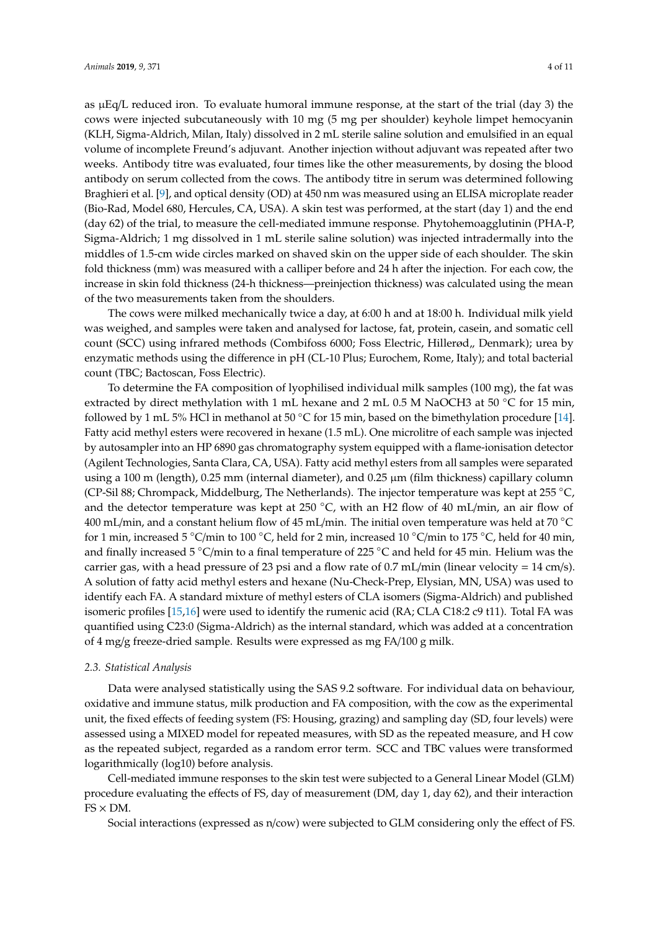as  $\mu$ Eq/L reduced iron. To evaluate humoral immune response, at the start of the trial (day 3) the cows were injected subcutaneously with 10 mg (5 mg per shoulder) keyhole limpet hemocyanin (KLH, Sigma-Aldrich, Milan, Italy) dissolved in 2 mL sterile saline solution and emulsified in an equal volume of incomplete Freund's adjuvant. Another injection without adjuvant was repeated after two weeks. Antibody titre was evaluated, four times like the other measurements, by dosing the blood antibody on serum collected from the cows. The antibody titre in serum was determined following Braghieri et al. [\[9\]](#page-8-8), and optical density (OD) at 450 nm was measured using an ELISA microplate reader (Bio-Rad, Model 680, Hercules, CA, USA). A skin test was performed, at the start (day 1) and the end (day 62) of the trial, to measure the cell-mediated immune response. Phytohemoagglutinin (PHA-P, Sigma-Aldrich; 1 mg dissolved in 1 mL sterile saline solution) was injected intradermally into the middles of 1.5-cm wide circles marked on shaved skin on the upper side of each shoulder. The skin fold thickness (mm) was measured with a calliper before and 24 h after the injection. For each cow, the increase in skin fold thickness (24-h thickness—preinjection thickness) was calculated using the mean of the two measurements taken from the shoulders.

The cows were milked mechanically twice a day, at 6:00 h and at 18:00 h. Individual milk yield was weighed, and samples were taken and analysed for lactose, fat, protein, casein, and somatic cell count (SCC) using infrared methods (Combifoss 6000; Foss Electric, Hillerød,, Denmark); urea by enzymatic methods using the difference in pH (CL-10 Plus; Eurochem, Rome, Italy); and total bacterial count (TBC; Bactoscan, Foss Electric).

To determine the FA composition of lyophilised individual milk samples (100 mg), the fat was extracted by direct methylation with 1 mL hexane and 2 mL 0.5 M NaOCH3 at 50 ℃ for 15 min, followed by 1 mL 5% HCl in methanol at 50  $^{\circ}$ C for 15 min, based on the bimethylation procedure [\[14\]](#page-9-3). Fatty acid methyl esters were recovered in hexane (1.5 mL). One microlitre of each sample was injected by autosampler into an HP 6890 gas chromatography system equipped with a flame-ionisation detector (Agilent Technologies, Santa Clara, CA, USA). Fatty acid methyl esters from all samples were separated using a 100 m (length), 0.25 mm (internal diameter), and 0.25 µm (film thickness) capillary column (CP-Sil 88; Chrompack, Middelburg, The Netherlands). The injector temperature was kept at 255 ◦C, and the detector temperature was kept at 250  $^{\circ}$ C, with an H2 flow of 40 mL/min, an air flow of 400 mL/min, and a constant helium flow of 45 mL/min. The initial oven temperature was held at 70 °C for 1 min, increased 5 ◦C/min to 100 ◦C, held for 2 min, increased 10 ◦C/min to 175 ◦C, held for 40 min, and finally increased 5 ◦C/min to a final temperature of 225 ◦C and held for 45 min. Helium was the carrier gas, with a head pressure of 23 psi and a flow rate of 0.7 mL/min (linear velocity = 14 cm/s). A solution of fatty acid methyl esters and hexane (Nu-Check-Prep, Elysian, MN, USA) was used to identify each FA. A standard mixture of methyl esters of CLA isomers (Sigma-Aldrich) and published isomeric profiles [\[15,](#page-9-4)[16\]](#page-9-5) were used to identify the rumenic acid (RA; CLA C18:2 c9 t11). Total FA was quantified using C23:0 (Sigma-Aldrich) as the internal standard, which was added at a concentration of 4 mg/g freeze-dried sample. Results were expressed as mg FA/100 g milk.

## *2.3. Statistical Analysis*

Data were analysed statistically using the SAS 9.2 software. For individual data on behaviour, oxidative and immune status, milk production and FA composition, with the cow as the experimental unit, the fixed effects of feeding system (FS: Housing, grazing) and sampling day (SD, four levels) were assessed using a MIXED model for repeated measures, with SD as the repeated measure, and H cow as the repeated subject, regarded as a random error term. SCC and TBC values were transformed logarithmically (log10) before analysis.

Cell-mediated immune responses to the skin test were subjected to a General Linear Model (GLM) procedure evaluating the effects of FS, day of measurement (DM, day 1, day 62), and their interaction  $FS \times DM$ .

Social interactions (expressed as n/cow) were subjected to GLM considering only the effect of FS.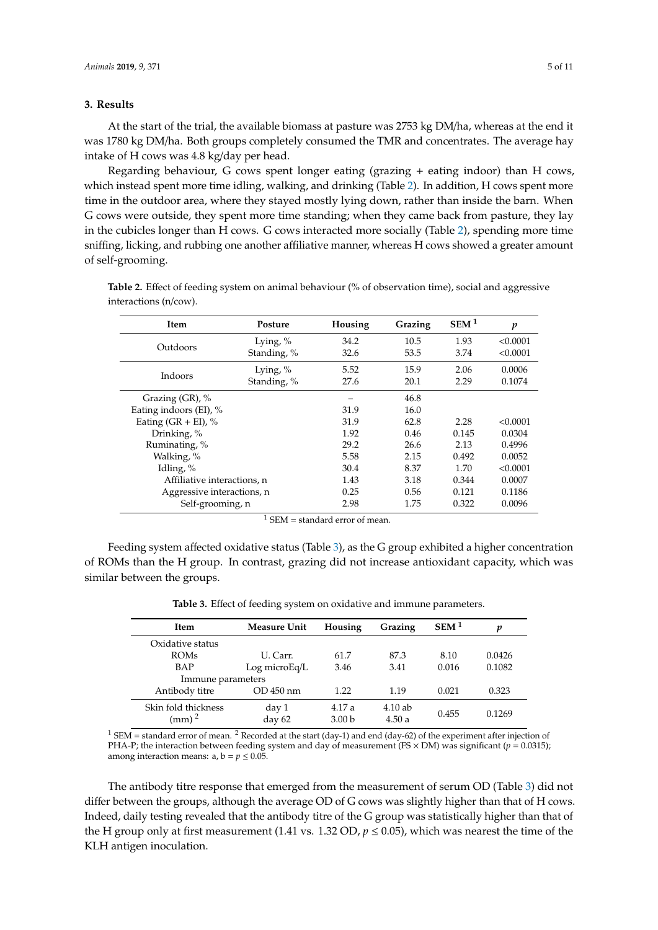# **3. Results**

At the start of the trial, the available biomass at pasture was 2753 kg DM/ha, whereas at the end it was 1780 kg DM/ha. Both groups completely consumed the TMR and concentrates. The average hay intake of H cows was 4.8 kg/day per head.

Regarding behaviour, G cows spent longer eating (grazing + eating indoor) than H cows, which instead spent more time idling, walking, and drinking (Table [2\)](#page-4-0). In addition, H cows spent more time in the outdoor area, where they stayed mostly lying down, rather than inside the barn. When G cows were outside, they spent more time standing; when they came back from pasture, they lay in the cubicles longer than H cows. G cows interacted more socially (Table [2\)](#page-4-0), spending more time sniffing, licking, and rubbing one another affiliative manner, whereas H cows showed a greater amount of self-grooming.

| Item                        | Posture     | Housing | Grazing | SEM <sup>1</sup> | p        |
|-----------------------------|-------------|---------|---------|------------------|----------|
|                             | Lying, $\%$ | 34.2    | 10.5    | 1.93             | < 0.0001 |
| Outdoors                    | Standing, % | 32.6    | 53.5    | 3.74             | < 0.0001 |
|                             | Lying, $\%$ | 5.52    | 15.9    | 2.06             | 0.0006   |
| Indoors                     | Standing, % | 27.6    | 20.1    | 2.29             | 0.1074   |
| Grazing (GR), %             |             |         | 46.8    |                  |          |
| Eating indoors $(EI)$ , %   |             | 31.9    | 16.0    |                  |          |
| Eating $(GR + EI)$ , %      |             | 31.9    | 62.8    | 2.28             | < 0.0001 |
| Drinking, %                 |             | 1.92    | 0.46    | 0.145            | 0.0304   |
| Ruminating, %               |             | 29.2    | 26.6    | 2.13             | 0.4996   |
| Walking, %                  |             | 5.58    | 2.15    | 0.492            | 0.0052   |
| Idling, %                   |             | 30.4    | 8.37    | 1.70             | < 0.0001 |
| Affiliative interactions, n |             | 1.43    | 3.18    | 0.344            | 0.0007   |
| Aggressive interactions, n  |             | 0.25    | 0.56    | 0.121            | 0.1186   |
| Self-grooming, n            |             | 2.98    | 1.75    | 0.322            | 0.0096   |

<span id="page-4-0"></span>**Table 2.** Effect of feeding system on animal behaviour (% of observation time), social and aggressive interactions (n/cow).

 $1$  SEM = standard error of mean.

<span id="page-4-1"></span>Feeding system affected oxidative status (Table [3\)](#page-4-1), as the G group exhibited a higher concentration of ROMs than the H group. In contrast, grazing did not increase antioxidant capacity, which was similar between the groups.

**Table 3.** Effect of feeding system on oxidative and immune parameters.

| Item                             | <b>Measure Unit</b> | Housing                    | Grazing            | SEM <sup>1</sup> | p      |
|----------------------------------|---------------------|----------------------------|--------------------|------------------|--------|
| Oxidative status                 |                     |                            |                    |                  |        |
| <b>ROMs</b>                      | U. Carr.            | 61.7                       | 87.3               | 8.10             | 0.0426 |
| <b>BAP</b>                       | Log microEq/L       | 3.46                       | 3.41               | 0.016            | 0.1082 |
| Immune parameters                |                     |                            |                    |                  |        |
| Antibody titre                   | $OD$ 450 nm         | 1.22                       | 1.19               | 0.021            | 0.323  |
| Skin fold thickness<br>(mm) $^2$ | day 1<br>day 62     | 4.17a<br>3.00 <sub>b</sub> | $4.10$ ab<br>4.50a | 0.455            | 0.1269 |

<sup>1</sup> SEM = standard error of mean. <sup>2</sup> Recorded at the start (day-1) and end (day-62) of the experiment after injection of PHA-P; the interaction between feeding system and day of measurement (FS  $\times$  DM) was significant ( $p = 0.0315$ ); among interaction means:  $a, b = p \le 0.05$ .

The antibody titre response that emerged from the measurement of serum OD (Table [3\)](#page-4-1) did not differ between the groups, although the average OD of G cows was slightly higher than that of H cows. Indeed, daily testing revealed that the antibody titre of the G group was statistically higher than that of the H group only at first measurement (1.41 vs. 1.32 OD,  $p \le 0.05$ ), which was nearest the time of the KLH antigen inoculation.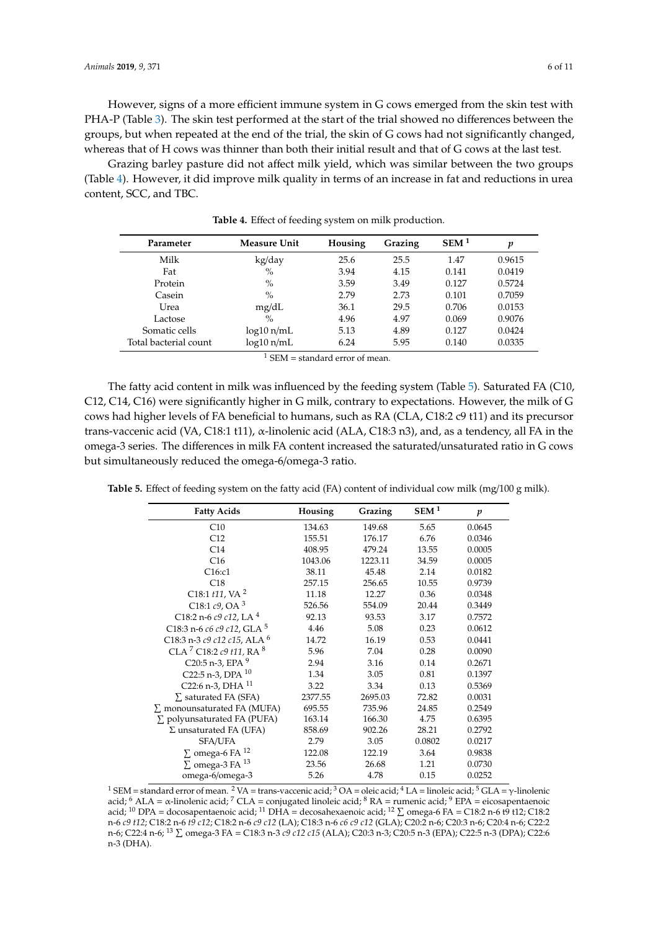However, signs of a more efficient immune system in G cows emerged from the skin test with PHA-P (Table [3\)](#page-4-1). The skin test performed at the start of the trial showed no differences between the groups, but when repeated at the end of the trial, the skin of G cows had not significantly changed, whereas that of H cows was thinner than both their initial result and that of G cows at the last test.

Grazing barley pasture did not affect milk yield, which was similar between the two groups (Table [4\)](#page-5-0). However, it did improve milk quality in terms of an increase in fat and reductions in urea content, SCC, and TBC.

<span id="page-5-0"></span>

| Parameter             | Measure Unit | Housing | Grazing | SEM <sup>1</sup> | p      |
|-----------------------|--------------|---------|---------|------------------|--------|
| Milk                  | kg/day       | 25.6    | 25.5    | 1.47             | 0.9615 |
| Fat                   | $\%$         | 3.94    | 4.15    | 0.141            | 0.0419 |
| Protein               | $\%$         | 3.59    | 3.49    | 0.127            | 0.5724 |
| Casein                | $\%$         | 2.79    | 2.73    | 0.101            | 0.7059 |
| Urea                  | mg/dL        | 36.1    | 29.5    | 0.706            | 0.0153 |
| Lactose               | $\%$         | 4.96    | 4.97    | 0.069            | 0.9076 |
| Somatic cells         | log10 n/mL   | 5.13    | 4.89    | 0.127            | 0.0424 |
| Total bacterial count | log10 n/mL   | 6.24    | 5.95    | 0.140            | 0.0335 |

**Table 4.** Effect of feeding system on milk production.

 $1$  SEM = standard error of mean.

The fatty acid content in milk was influenced by the feeding system (Table [5\)](#page-5-1). Saturated FA (C10, C12, C14, C16) were significantly higher in G milk, contrary to expectations. However, the milk of G cows had higher levels of FA beneficial to humans, such as RA (CLA, C18:2 c9 t11) and its precursor trans-vaccenic acid (VA, C18:1 t11), α-linolenic acid (ALA, C18:3 n3), and, as a tendency, all FA in the omega-3 series. The differences in milk FA content increased the saturated/unsaturated ratio in G cows but simultaneously reduced the omega-6/omega-3 ratio.

<span id="page-5-1"></span>**Table 5.** Effect of feeding system on the fatty acid (FA) content of individual cow milk (mg/100 g milk).

| <b>Fatty Acids</b>                                                | Housing | Grazing | SEM <sup>1</sup> | $\boldsymbol{p}$ |
|-------------------------------------------------------------------|---------|---------|------------------|------------------|
| C10                                                               | 134.63  | 149.68  | 5.65             | 0.0645           |
| C12                                                               | 155.51  | 176.17  | 6.76             | 0.0346           |
| C14                                                               | 408.95  | 479.24  | 13.55            | 0.0005           |
| C16                                                               | 1043.06 | 1223.11 | 34.59            | 0.0005           |
| C16: c1                                                           | 38.11   | 45.48   | 2.14             | 0.0182           |
| C18                                                               | 257.15  | 256.65  | 10.55            | 0.9739           |
| C <sub>18:1</sub> $t$ <sub>11</sub> , V <sub>A</sub> <sup>2</sup> | 11.18   | 12.27   | 0.36             | 0.0348           |
| C18:1 $c9$ , OA $3$                                               | 526.56  | 554.09  | 20.44            | 0.3449           |
| C18:2 n-6 $c$ 9 $c$ 12, LA <sup>4</sup>                           | 92.13   | 93.53   | 3.17             | 0.7572           |
| C18:3 n-6 $c6$ $c9$ $c12$ , GLA $^5$                              | 4.46    | 5.08    | 0.23             | 0.0612           |
| C18:3 n-3 c9 c12 c15, ALA $^6$                                    | 14.72   | 16.19   | 0.53             | 0.0441           |
| CLA <sup>7</sup> C18:2 c9 t11, RA <sup>8</sup>                    | 5.96    | 7.04    | 0.28             | 0.0090           |
| C <sub>20:5</sub> n-3, EPA $9$                                    | 2.94    | 3.16    | 0.14             | 0.2671           |
| C22:5 n-3, DPA 10                                                 | 1.34    | 3.05    | 0.81             | 0.1397           |
| C22:6 n-3, DHA 11                                                 | 3.22    | 3.34    | 0.13             | 0.5369           |
| $\Sigma$ saturated FA (SFA)                                       | 2377.55 | 2695.03 | 72.82            | 0.0031           |
| $\Sigma$ monounsaturated FA (MUFA)                                | 695.55  | 735.96  | 24.85            | 0.2549           |
| $\Sigma$ polyunsaturated FA (PUFA)                                | 163.14  | 166.30  | 4.75             | 0.6395           |
| $\Sigma$ unsaturated FA (UFA)                                     | 858.69  | 902.26  | 28.21            | 0.2792           |
| <b>SFA/UFA</b>                                                    | 2.79    | 3.05    | 0.0802           | 0.0217           |
| $\Sigma$ omega-6 FA <sup>12</sup>                                 | 122.08  | 122.19  | 3.64             | 0.9838           |
| $\Sigma$ omega-3 FA $^{13}$                                       | 23.56   | 26.68   | 1.21             | 0.0730           |
| omega-6/omega-3                                                   | 5.26    | 4.78    | 0.15             | 0.0252           |
|                                                                   |         |         |                  |                  |

 $1$  SEM = standard error of mean.  $2$  VA = trans-vaccenic acid;  $3$  OA = oleic acid;  $4$  LA = linoleic acid;  $5$  GLA =  $\gamma$ -linolenic acid;  $^6$  ALA = α-linolenic acid;  $^7$  CLA = conjugated linoleic acid;  $^8$  RA = rumenic acid;  $^9$  EPA = eicosapentaenoic acid;  $^{10}$  DPA = docosapentaenoic acid;  $^{11}$  DHA = decosahexaenoic acid;  $^{12}$   $\Sigma$  omega-6 FA = C18:2 n-6 t9 t12; C18:2 n-6 *c9 t12*; C18:2 n-6 *t9 c12*; C18:2 n-6 *c9 c12* (LA); C18:3 n-6 *c6 c9 c12* (GLA); C20:2 n-6; C20:3 n-6; C20:4 n-6; C22:2 n-6; C22:4 n-6; <sup>13</sup>  $\sum$  omega-3 FA = C18:3 n-3 *c9 c12 c15* (ALA); C20:3 n-3; C20:5 n-3 (EPA); C22:5 n-3 (DPA); C22:6 n-3 (DHA).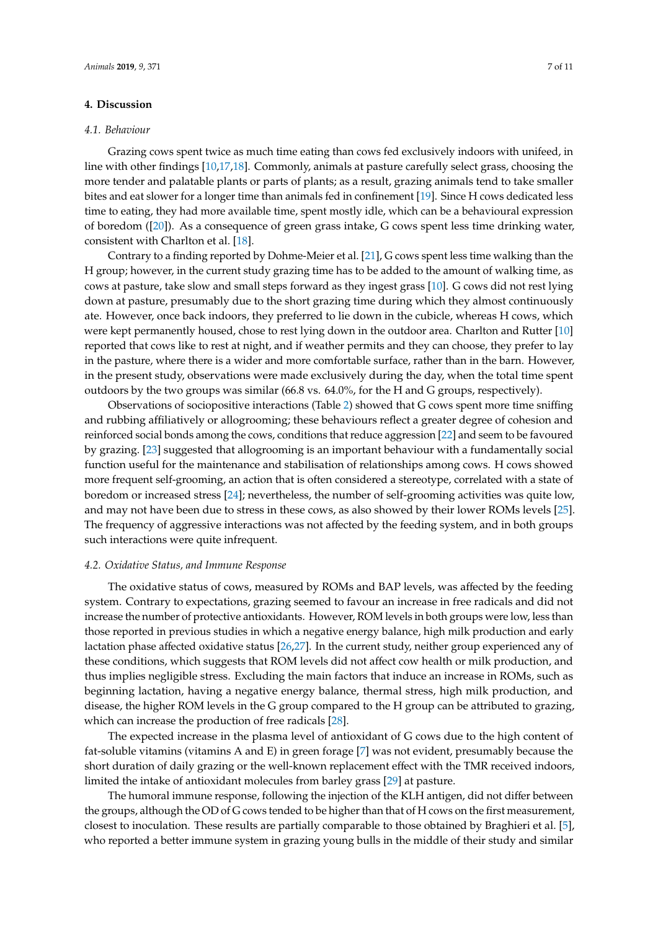# **4. Discussion**

## *4.1. Behaviour*

Grazing cows spent twice as much time eating than cows fed exclusively indoors with unifeed, in line with other findings [\[10](#page-8-9)[,17](#page-9-6)[,18\]](#page-9-7). Commonly, animals at pasture carefully select grass, choosing the more tender and palatable plants or parts of plants; as a result, grazing animals tend to take smaller bites and eat slower for a longer time than animals fed in confinement [\[19\]](#page-9-8). Since H cows dedicated less time to eating, they had more available time, spent mostly idle, which can be a behavioural expression of boredom ([\[20\]](#page-9-9)). As a consequence of green grass intake, G cows spent less time drinking water, consistent with Charlton et al. [\[18\]](#page-9-7).

Contrary to a finding reported by Dohme-Meier et al. [\[21\]](#page-9-10), G cows spent less time walking than the H group; however, in the current study grazing time has to be added to the amount of walking time, as cows at pasture, take slow and small steps forward as they ingest grass [\[10\]](#page-8-9). G cows did not rest lying down at pasture, presumably due to the short grazing time during which they almost continuously ate. However, once back indoors, they preferred to lie down in the cubicle, whereas H cows, which were kept permanently housed, chose to rest lying down in the outdoor area. Charlton and Rutter [\[10\]](#page-8-9) reported that cows like to rest at night, and if weather permits and they can choose, they prefer to lay in the pasture, where there is a wider and more comfortable surface, rather than in the barn. However, in the present study, observations were made exclusively during the day, when the total time spent outdoors by the two groups was similar (66.8 vs. 64.0%, for the H and G groups, respectively).

Observations of sociopositive interactions (Table [2\)](#page-4-0) showed that G cows spent more time sniffing and rubbing affiliatively or allogrooming; these behaviours reflect a greater degree of cohesion and reinforced social bonds among the cows, conditions that reduce aggression [\[22\]](#page-9-11) and seem to be favoured by grazing. [\[23\]](#page-9-12) suggested that allogrooming is an important behaviour with a fundamentally social function useful for the maintenance and stabilisation of relationships among cows. H cows showed more frequent self-grooming, an action that is often considered a stereotype, correlated with a state of boredom or increased stress [\[24\]](#page-9-13); nevertheless, the number of self-grooming activities was quite low, and may not have been due to stress in these cows, as also showed by their lower ROMs levels [\[25\]](#page-9-14). The frequency of aggressive interactions was not affected by the feeding system, and in both groups such interactions were quite infrequent.

#### *4.2. Oxidative Status, and Immune Response*

The oxidative status of cows, measured by ROMs and BAP levels, was affected by the feeding system. Contrary to expectations, grazing seemed to favour an increase in free radicals and did not increase the number of protective antioxidants. However, ROM levels in both groups were low, less than those reported in previous studies in which a negative energy balance, high milk production and early lactation phase affected oxidative status [\[26](#page-9-15)[,27\]](#page-9-16). In the current study, neither group experienced any of these conditions, which suggests that ROM levels did not affect cow health or milk production, and thus implies negligible stress. Excluding the main factors that induce an increase in ROMs, such as beginning lactation, having a negative energy balance, thermal stress, high milk production, and disease, the higher ROM levels in the G group compared to the H group can be attributed to grazing, which can increase the production of free radicals [\[28\]](#page-9-17).

The expected increase in the plasma level of antioxidant of G cows due to the high content of fat-soluble vitamins (vitamins A and E) in green forage [\[7\]](#page-8-6) was not evident, presumably because the short duration of daily grazing or the well-known replacement effect with the TMR received indoors, limited the intake of antioxidant molecules from barley grass [\[29\]](#page-9-18) at pasture.

The humoral immune response, following the injection of the KLH antigen, did not differ between the groups, although the OD of G cows tended to be higher than that of H cows on the first measurement, closest to inoculation. These results are partially comparable to those obtained by Braghieri et al. [\[5\]](#page-8-4), who reported a better immune system in grazing young bulls in the middle of their study and similar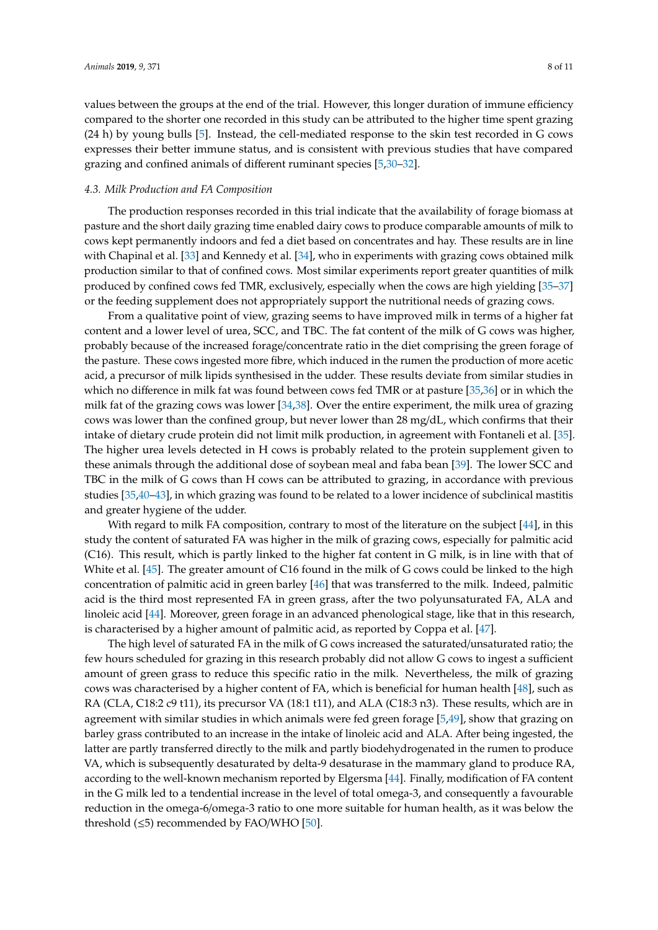values between the groups at the end of the trial. However, this longer duration of immune efficiency compared to the shorter one recorded in this study can be attributed to the higher time spent grazing (24 h) by young bulls [\[5\]](#page-8-4). Instead, the cell-mediated response to the skin test recorded in G cows expresses their better immune status, and is consistent with previous studies that have compared grazing and confined animals of different ruminant species [\[5,](#page-8-4)[30](#page-9-19)[–32\]](#page-9-20).

## *4.3. Milk Production and FA Composition*

The production responses recorded in this trial indicate that the availability of forage biomass at pasture and the short daily grazing time enabled dairy cows to produce comparable amounts of milk to cows kept permanently indoors and fed a diet based on concentrates and hay. These results are in line with Chapinal et al. [\[33\]](#page-10-0) and Kennedy et al. [\[34\]](#page-10-1), who in experiments with grazing cows obtained milk production similar to that of confined cows. Most similar experiments report greater quantities of milk produced by confined cows fed TMR, exclusively, especially when the cows are high yielding [\[35–](#page-10-2)[37\]](#page-10-3) or the feeding supplement does not appropriately support the nutritional needs of grazing cows.

From a qualitative point of view, grazing seems to have improved milk in terms of a higher fat content and a lower level of urea, SCC, and TBC. The fat content of the milk of G cows was higher, probably because of the increased forage/concentrate ratio in the diet comprising the green forage of the pasture. These cows ingested more fibre, which induced in the rumen the production of more acetic acid, a precursor of milk lipids synthesised in the udder. These results deviate from similar studies in which no difference in milk fat was found between cows fed TMR or at pasture [\[35](#page-10-2)[,36\]](#page-10-4) or in which the milk fat of the grazing cows was lower [\[34](#page-10-1)[,38\]](#page-10-5). Over the entire experiment, the milk urea of grazing cows was lower than the confined group, but never lower than 28 mg/dL, which confirms that their intake of dietary crude protein did not limit milk production, in agreement with Fontaneli et al. [\[35\]](#page-10-2). The higher urea levels detected in H cows is probably related to the protein supplement given to these animals through the additional dose of soybean meal and faba bean [\[39\]](#page-10-6). The lower SCC and TBC in the milk of G cows than H cows can be attributed to grazing, in accordance with previous studies [\[35](#page-10-2)[,40](#page-10-7)[–43\]](#page-10-8), in which grazing was found to be related to a lower incidence of subclinical mastitis and greater hygiene of the udder.

With regard to milk FA composition, contrary to most of the literature on the subject [\[44\]](#page-10-9), in this study the content of saturated FA was higher in the milk of grazing cows, especially for palmitic acid (C16). This result, which is partly linked to the higher fat content in G milk, is in line with that of White et al. [\[45\]](#page-10-10). The greater amount of C16 found in the milk of G cows could be linked to the high concentration of palmitic acid in green barley [\[46\]](#page-10-11) that was transferred to the milk. Indeed, palmitic acid is the third most represented FA in green grass, after the two polyunsaturated FA, ALA and linoleic acid [\[44\]](#page-10-9). Moreover, green forage in an advanced phenological stage, like that in this research, is characterised by a higher amount of palmitic acid, as reported by Coppa et al. [\[47\]](#page-10-12).

The high level of saturated FA in the milk of G cows increased the saturated/unsaturated ratio; the few hours scheduled for grazing in this research probably did not allow G cows to ingest a sufficient amount of green grass to reduce this specific ratio in the milk. Nevertheless, the milk of grazing cows was characterised by a higher content of FA, which is beneficial for human health [\[48\]](#page-10-13), such as RA (CLA, C18:2 c9 t11), its precursor VA (18:1 t11), and ALA (C18:3 n3). These results, which are in agreement with similar studies in which animals were fed green forage [\[5](#page-8-4)[,49\]](#page-10-14), show that grazing on barley grass contributed to an increase in the intake of linoleic acid and ALA. After being ingested, the latter are partly transferred directly to the milk and partly biodehydrogenated in the rumen to produce VA, which is subsequently desaturated by delta-9 desaturase in the mammary gland to produce RA, according to the well-known mechanism reported by Elgersma [\[44\]](#page-10-9). Finally, modification of FA content in the G milk led to a tendential increase in the level of total omega-3, and consequently a favourable reduction in the omega-6/omega-3 ratio to one more suitable for human health, as it was below the threshold  $(\leq 5)$  recommended by FAO/WHO [\[50\]](#page-10-15).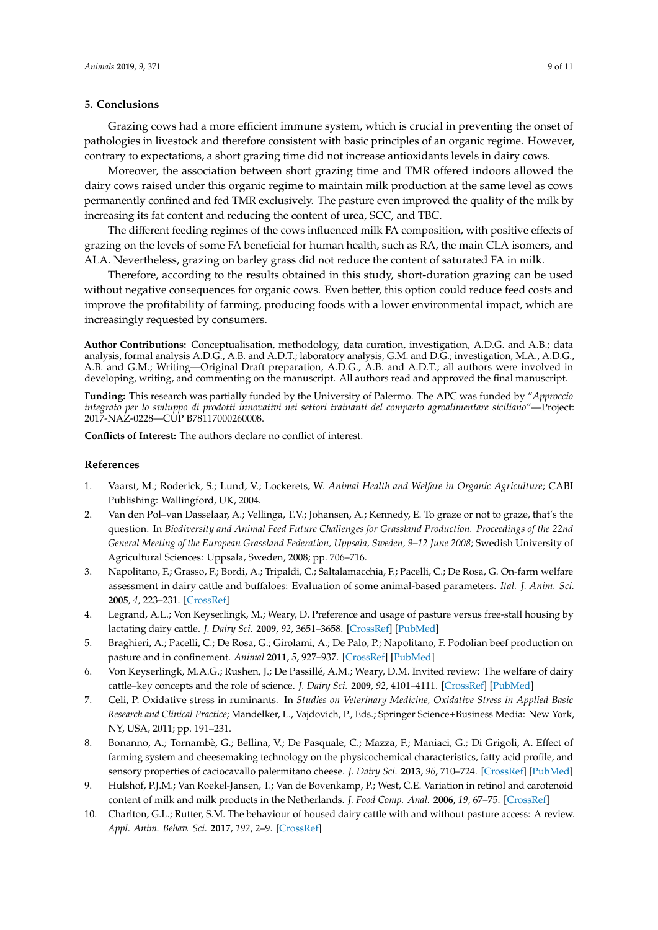# **5. Conclusions**

Grazing cows had a more efficient immune system, which is crucial in preventing the onset of pathologies in livestock and therefore consistent with basic principles of an organic regime. However, contrary to expectations, a short grazing time did not increase antioxidants levels in dairy cows.

Moreover, the association between short grazing time and TMR offered indoors allowed the dairy cows raised under this organic regime to maintain milk production at the same level as cows permanently confined and fed TMR exclusively. The pasture even improved the quality of the milk by increasing its fat content and reducing the content of urea, SCC, and TBC.

The different feeding regimes of the cows influenced milk FA composition, with positive effects of grazing on the levels of some FA beneficial for human health, such as RA, the main CLA isomers, and ALA. Nevertheless, grazing on barley grass did not reduce the content of saturated FA in milk.

Therefore, according to the results obtained in this study, short-duration grazing can be used without negative consequences for organic cows. Even better, this option could reduce feed costs and improve the profitability of farming, producing foods with a lower environmental impact, which are increasingly requested by consumers.

**Author Contributions:** Conceptualisation, methodology, data curation, investigation, A.D.G. and A.B.; data analysis, formal analysis A.D.G., A.B. and A.D.T.; laboratory analysis, G.M. and D.G.; investigation, M.A., A.D.G., A.B. and G.M.; Writing—Original Draft preparation, A.D.G., A.B. and A.D.T.; all authors were involved in developing, writing, and commenting on the manuscript. All authors read and approved the final manuscript.

**Funding:** This research was partially funded by the University of Palermo. The APC was funded by "*Approccio integrato per lo sviluppo di prodotti innovativi nei settori trainanti del comparto agroalimentare siciliano*"—Project: 2017-NAZ-0228—CUP B78117000260008.

**Conflicts of Interest:** The authors declare no conflict of interest.

## **References**

- <span id="page-8-0"></span>1. Vaarst, M.; Roderick, S.; Lund, V.; Lockerets, W. *Animal Health and Welfare in Organic Agriculture*; CABI Publishing: Wallingford, UK, 2004.
- <span id="page-8-1"></span>2. Van den Pol–van Dasselaar, A.; Vellinga, T.V.; Johansen, A.; Kennedy, E. To graze or not to graze, that's the question. In *Biodiversity and Animal Feed Future Challenges for Grassland Production. Proceedings of the 22nd General Meeting of the European Grassland Federation, Uppsala, Sweden, 9–12 June 2008*; Swedish University of Agricultural Sciences: Uppsala, Sweden, 2008; pp. 706–716.
- <span id="page-8-2"></span>3. Napolitano, F.; Grasso, F.; Bordi, A.; Tripaldi, C.; Saltalamacchia, F.; Pacelli, C.; De Rosa, G. On-farm welfare assessment in dairy cattle and buffaloes: Evaluation of some animal-based parameters. *Ital. J. Anim. Sci.* **2005**, *4*, 223–231. [\[CrossRef\]](http://dx.doi.org/10.4081/ijas.2005.223)
- <span id="page-8-3"></span>4. Legrand, A.L.; Von Keyserlingk, M.; Weary, D. Preference and usage of pasture versus free-stall housing by lactating dairy cattle. *J. Dairy Sci.* **2009**, *92*, 3651–3658. [\[CrossRef\]](http://dx.doi.org/10.3168/jds.2008-1733) [\[PubMed\]](http://www.ncbi.nlm.nih.gov/pubmed/19620646)
- <span id="page-8-4"></span>5. Braghieri, A.; Pacelli, C.; De Rosa, G.; Girolami, A.; De Palo, P.; Napolitano, F. Podolian beef production on pasture and in confinement. *Animal* **2011**, *5*, 927–937. [\[CrossRef\]](http://dx.doi.org/10.1017/S1751731110002685) [\[PubMed\]](http://www.ncbi.nlm.nih.gov/pubmed/22440032)
- <span id="page-8-5"></span>6. Von Keyserlingk, M.A.G.; Rushen, J.; De Passillé, A.M.; Weary, D.M. Invited review: The welfare of dairy cattle–key concepts and the role of science. *J. Dairy Sci.* **2009**, *92*, 4101–4111. [\[CrossRef\]](http://dx.doi.org/10.3168/jds.2009-2326) [\[PubMed\]](http://www.ncbi.nlm.nih.gov/pubmed/19700671)
- <span id="page-8-6"></span>7. Celi, P. Oxidative stress in ruminants. In *Studies on Veterinary Medicine, Oxidative Stress in Applied Basic Research and Clinical Practice*; Mandelker, L., Vajdovich, P., Eds.; Springer Science+Business Media: New York, NY, USA, 2011; pp. 191–231.
- <span id="page-8-7"></span>8. Bonanno, A.; Tornambè, G.; Bellina, V.; De Pasquale, C.; Mazza, F.; Maniaci, G.; Di Grigoli, A. Effect of farming system and cheesemaking technology on the physicochemical characteristics, fatty acid profile, and sensory properties of caciocavallo palermitano cheese. *J. Dairy Sci.* **2013**, *96*, 710–724. [\[CrossRef\]](http://dx.doi.org/10.3168/jds.2012-5973) [\[PubMed\]](http://www.ncbi.nlm.nih.gov/pubmed/23127907)
- <span id="page-8-8"></span>9. Hulshof, P.J.M.; Van Roekel-Jansen, T.; Van de Bovenkamp, P.; West, C.E. Variation in retinol and carotenoid content of milk and milk products in the Netherlands. *J. Food Comp. Anal.* **2006**, *19*, 67–75. [\[CrossRef\]](http://dx.doi.org/10.1016/j.jfca.2005.04.005)
- <span id="page-8-9"></span>10. Charlton, G.L.; Rutter, S.M. The behaviour of housed dairy cattle with and without pasture access: A review. *Appl. Anim. Behav. Sci.* **2017**, *192*, 2–9. [\[CrossRef\]](http://dx.doi.org/10.1016/j.applanim.2017.05.015)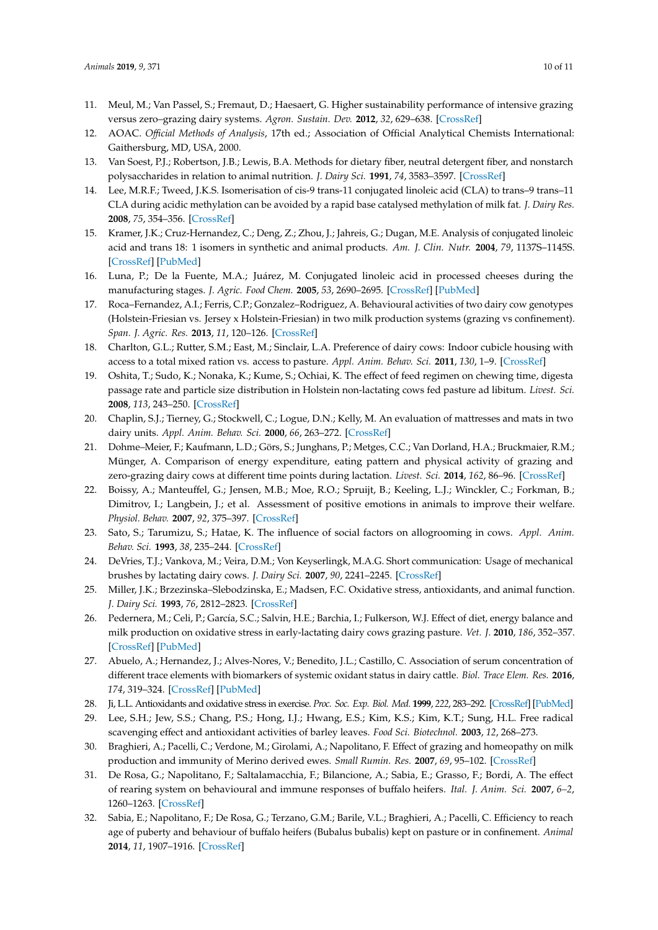- <span id="page-9-0"></span>11. Meul, M.; Van Passel, S.; Fremaut, D.; Haesaert, G. Higher sustainability performance of intensive grazing versus zero–grazing dairy systems. *Agron. Sustain. Dev.* **2012**, *32*, 629–638. [\[CrossRef\]](http://dx.doi.org/10.1007/s13593-011-0074-5)
- <span id="page-9-1"></span>12. AOAC. *O*ffi*cial Methods of Analysis*, 17th ed.; Association of Official Analytical Chemists International: Gaithersburg, MD, USA, 2000.
- <span id="page-9-2"></span>13. Van Soest, P.J.; Robertson, J.B.; Lewis, B.A. Methods for dietary fiber, neutral detergent fiber, and nonstarch polysaccharides in relation to animal nutrition. *J. Dairy Sci.* **1991**, *74*, 3583–3597. [\[CrossRef\]](http://dx.doi.org/10.3168/jds.S0022-0302(91)78551-2)
- <span id="page-9-3"></span>14. Lee, M.R.F.; Tweed, J.K.S. Isomerisation of cis-9 trans-11 conjugated linoleic acid (CLA) to trans–9 trans–11 CLA during acidic methylation can be avoided by a rapid base catalysed methylation of milk fat. *J. Dairy Res.* **2008**, *75*, 354–356. [\[CrossRef\]](http://dx.doi.org/10.1017/S0022029908003518)
- <span id="page-9-4"></span>15. Kramer, J.K.; Cruz-Hernandez, C.; Deng, Z.; Zhou, J.; Jahreis, G.; Dugan, M.E. Analysis of conjugated linoleic acid and trans 18: 1 isomers in synthetic and animal products. *Am. J. Clin. Nutr.* **2004**, *79*, 1137S–1145S. [\[CrossRef\]](http://dx.doi.org/10.1093/ajcn/79.6.1137S) [\[PubMed\]](http://www.ncbi.nlm.nih.gov/pubmed/15159247)
- <span id="page-9-5"></span>16. Luna, P.; De la Fuente, M.A.; Juárez, M. Conjugated linoleic acid in processed cheeses during the manufacturing stages. *J. Agric. Food Chem.* **2005**, *53*, 2690–2695. [\[CrossRef\]](http://dx.doi.org/10.1021/jf048091x) [\[PubMed\]](http://www.ncbi.nlm.nih.gov/pubmed/15796612)
- <span id="page-9-6"></span>17. Roca–Fernandez, A.I.; Ferris, C.P.; Gonzalez–Rodriguez, A. Behavioural activities of two dairy cow genotypes (Holstein-Friesian vs. Jersey x Holstein-Friesian) in two milk production systems (grazing vs confinement). *Span. J. Agric. Res.* **2013**, *11*, 120–126. [\[CrossRef\]](http://dx.doi.org/10.5424/sjar/2013111-2682)
- <span id="page-9-7"></span>18. Charlton, G.L.; Rutter, S.M.; East, M.; Sinclair, L.A. Preference of dairy cows: Indoor cubicle housing with access to a total mixed ration vs. access to pasture. *Appl. Anim. Behav. Sci.* **2011**, *130*, 1–9. [\[CrossRef\]](http://dx.doi.org/10.1016/j.applanim.2010.11.018)
- <span id="page-9-8"></span>19. Oshita, T.; Sudo, K.; Nonaka, K.; Kume, S.; Ochiai, K. The effect of feed regimen on chewing time, digesta passage rate and particle size distribution in Holstein non-lactating cows fed pasture ad libitum. *Livest. Sci.* **2008**, *113*, 243–250. [\[CrossRef\]](http://dx.doi.org/10.1016/j.livsci.2007.04.001)
- <span id="page-9-9"></span>20. Chaplin, S.J.; Tierney, G.; Stockwell, C.; Logue, D.N.; Kelly, M. An evaluation of mattresses and mats in two dairy units. *Appl. Anim. Behav. Sci.* **2000**, *66*, 263–272. [\[CrossRef\]](http://dx.doi.org/10.1016/S0168-1591(99)00100-8)
- <span id="page-9-10"></span>21. Dohme–Meier, F.; Kaufmann, L.D.; Görs, S.; Junghans, P.; Metges, C.C.; Van Dorland, H.A.; Bruckmaier, R.M.; Münger, A. Comparison of energy expenditure, eating pattern and physical activity of grazing and zero-grazing dairy cows at different time points during lactation. *Livest. Sci.* **2014**, *162*, 86–96. [\[CrossRef\]](http://dx.doi.org/10.1016/j.livsci.2014.01.006)
- <span id="page-9-11"></span>22. Boissy, A.; Manteuffel, G.; Jensen, M.B.; Moe, R.O.; Spruijt, B.; Keeling, L.J.; Winckler, C.; Forkman, B.; Dimitrov, I.; Langbein, J.; et al. Assessment of positive emotions in animals to improve their welfare. *Physiol. Behav.* **2007**, *92*, 375–397. [\[CrossRef\]](http://dx.doi.org/10.1016/j.physbeh.2007.02.003)
- <span id="page-9-12"></span>23. Sato, S.; Tarumizu, S.; Hatae, K. The influence of social factors on allogrooming in cows. *Appl. Anim. Behav. Sci.* **1993**, *38*, 235–244. [\[CrossRef\]](http://dx.doi.org/10.1016/0168-1591(93)90022-H)
- <span id="page-9-13"></span>24. DeVries, T.J.; Vankova, M.; Veira, D.M.; Von Keyserlingk, M.A.G. Short communication: Usage of mechanical brushes by lactating dairy cows. *J. Dairy Sci.* **2007**, *90*, 2241–2245. [\[CrossRef\]](http://dx.doi.org/10.3168/jds.2006-648)
- <span id="page-9-14"></span>25. Miller, J.K.; Brzezinska–Slebodzinska, E.; Madsen, F.C. Oxidative stress, antioxidants, and animal function. *J. Dairy Sci.* **1993**, *76*, 2812–2823. [\[CrossRef\]](http://dx.doi.org/10.3168/jds.S0022-0302(93)77620-1)
- <span id="page-9-15"></span>26. Pedernera, M.; Celi, P.; García, S.C.; Salvin, H.E.; Barchia, I.; Fulkerson, W.J. Effect of diet, energy balance and milk production on oxidative stress in early-lactating dairy cows grazing pasture. *Vet. J.* **2010**, *186*, 352–357. [\[CrossRef\]](http://dx.doi.org/10.1016/j.tvjl.2009.09.003) [\[PubMed\]](http://www.ncbi.nlm.nih.gov/pubmed/19804998)
- <span id="page-9-16"></span>27. Abuelo, A.; Hernandez, J.; Alves-Nores, V.; Benedito, J.L.; Castillo, C. Association of serum concentration of different trace elements with biomarkers of systemic oxidant status in dairy cattle. *Biol. Trace Elem. Res.* **2016**, *174*, 319–324. [\[CrossRef\]](http://dx.doi.org/10.1007/s12011-016-0713-4) [\[PubMed\]](http://www.ncbi.nlm.nih.gov/pubmed/27113768)
- <span id="page-9-18"></span><span id="page-9-17"></span>28. Ji, L.L. Antioxidants and oxidative stress in exercise. *Proc. Soc. Exp. Biol. Med.* **1999**, *222*, 283–292. [\[CrossRef\]](http://dx.doi.org/10.1046/j.1525-1373.1999.d01-145.x) [\[PubMed\]](http://www.ncbi.nlm.nih.gov/pubmed/10601887)
- 29. Lee, S.H.; Jew, S.S.; Chang, P.S.; Hong, I.J.; Hwang, E.S.; Kim, K.S.; Kim, K.T.; Sung, H.L. Free radical scavenging effect and antioxidant activities of barley leaves. *Food Sci. Biotechnol.* **2003**, *12*, 268–273.
- <span id="page-9-19"></span>30. Braghieri, A.; Pacelli, C.; Verdone, M.; Girolami, A.; Napolitano, F. Effect of grazing and homeopathy on milk production and immunity of Merino derived ewes. *Small Rumin. Res.* **2007**, *69*, 95–102. [\[CrossRef\]](http://dx.doi.org/10.1016/j.smallrumres.2005.12.014)
- 31. De Rosa, G.; Napolitano, F.; Saltalamacchia, F.; Bilancione, A.; Sabia, E.; Grasso, F.; Bordi, A. The effect of rearing system on behavioural and immune responses of buffalo heifers. *Ital. J. Anim. Sci.* **2007**, *6–2*, 1260–1263. [\[CrossRef\]](http://dx.doi.org/10.4081/ijas.2007.s2.1260)
- <span id="page-9-20"></span>32. Sabia, E.; Napolitano, F.; De Rosa, G.; Terzano, G.M.; Barile, V.L.; Braghieri, A.; Pacelli, C. Efficiency to reach age of puberty and behaviour of buffalo heifers (Bubalus bubalis) kept on pasture or in confinement. *Animal* **2014**, *11*, 1907–1916. [\[CrossRef\]](http://dx.doi.org/10.1017/S1751731114001876)